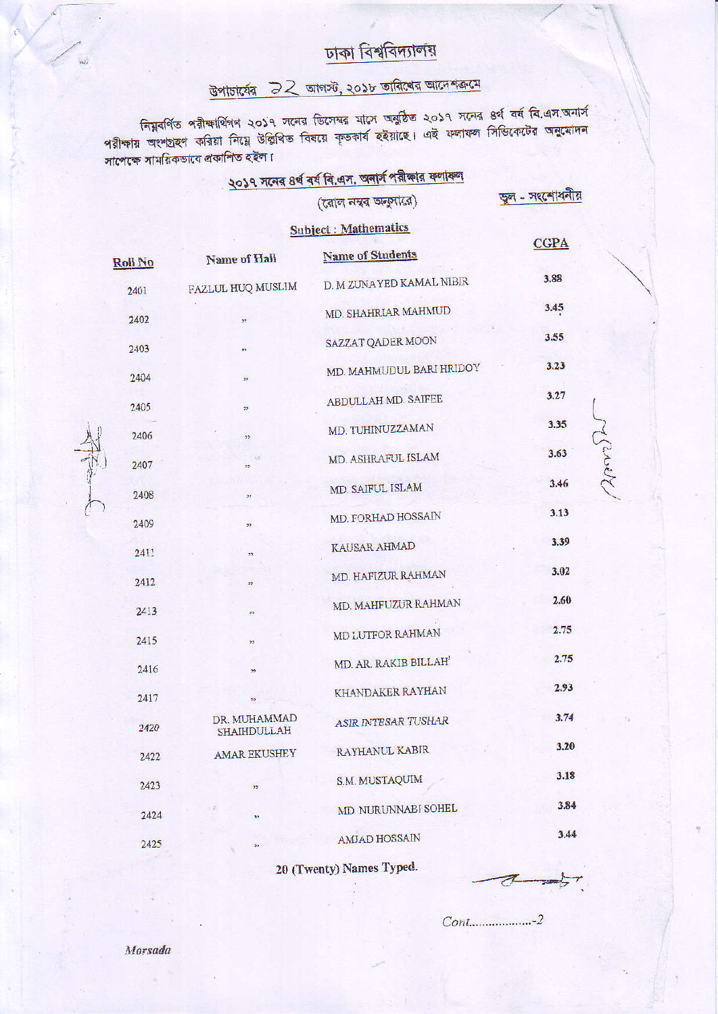### ঢাকা বিশ্ববিদ্যালয়

# উপাচার্যের 22 আগস্ট, ২০১৮ তারিখের আদেশক্রমে

নিমুবর্ণিত পরীক্ষার্থিগণ ২০১৭ সনের ডিসেম্বর মাসে অনুষ্ঠিত ২০১৭ সনের ৪র্থ বর্ষ বি.এস.অনার্স<br>পরীক্ষায় অংশগ্রহণ করিয়া নিয়ে উল্লিখিত বিষয়ে কৃতকার্য হইয়াছে। এই ফলাফল সিন্ডিকেটের অনুমোদন সাপেক্ষে সাময়িকভাবে প্ৰকাশিত হইল।

|                |                                    | २०३१ मत्वत 8ये वयं वि. प्रम, अनाम भूताकात कणाकण<br>(রোল নম্বর অনুসারে) | ভুল - সংশোধনীয় |  |
|----------------|------------------------------------|------------------------------------------------------------------------|-----------------|--|
|                |                                    | <b>Subject: Mathematics</b>                                            |                 |  |
| <b>Roll No</b> | Name of Hall                       | <b>Name of Students</b>                                                | <b>CGPA</b>     |  |
| 2401           | FAZLUL HUQ MUSLIM                  | D. M ZUNAYED KAMAL NIBIR                                               | 3.88            |  |
| 2402           | 55 <sub>1</sub>                    | MD. SHAHRIAR MAHMUD                                                    | 3.45            |  |
| 2403           | 55                                 | SAZZAT QADER MOON                                                      | 3.55            |  |
| 2404           | $\overline{22}$                    | MD. MAHMUDUL BARI HRIDOY                                               | 3.23            |  |
| 2405           | 22                                 | ABDULLAH MD. SAIFEE                                                    | 3.27            |  |
| 2406           | 55                                 | MD. TUHINUZZAMAN                                                       | 3.35            |  |
| 2407           | 12<br>22                           | MD. ASHRAFUL ISLAM                                                     | 2002<br>3.63    |  |
| 2408           | 77                                 | MD. SAIFUL ISLAM                                                       | 3.46            |  |
| 2409           | 33                                 | MD. FORHAD HOSSAIN                                                     | 3.13            |  |
| 2411           | ,,                                 | KAUSAR AHMAD                                                           | 3.39            |  |
| 2412           | 92                                 | MD. HAFIZUR RAHMAN                                                     | 3.02            |  |
| 2413           | 77                                 | MD. MAHFUZUR RAHMAN                                                    | 2.60            |  |
| 2415           | 22                                 | MD LUTFOR RAHMAN                                                       | 2.75            |  |
| 2416           | $\overline{22}$                    | MD. AR, RAKIB BILLAH'                                                  | 2.75            |  |
| 2417           | 37                                 | KHANDAKER RAYHAN                                                       | 2.93            |  |
| 2420           | DR. MUHAMMAD<br><b>SHAIHDULLAH</b> | ASIR INTESAR TUSHAR                                                    | 3.74            |  |
| 2422           | <b>AMAR EKUSHEY</b>                | RAYHANUL KABIR                                                         | 3.20            |  |
| 2423           | 35                                 | <b>S.M. MUSTAQUIM</b>                                                  | 3.18            |  |
| 2424           | 55                                 | MD. NURUNNABI SOHEL                                                    | 3.84            |  |
| 2425           | 33                                 | <b>AMJAD HOSSAIN</b>                                                   | 3.44            |  |
|                |                                    |                                                                        |                 |  |

20 (Twenty) Names Typed.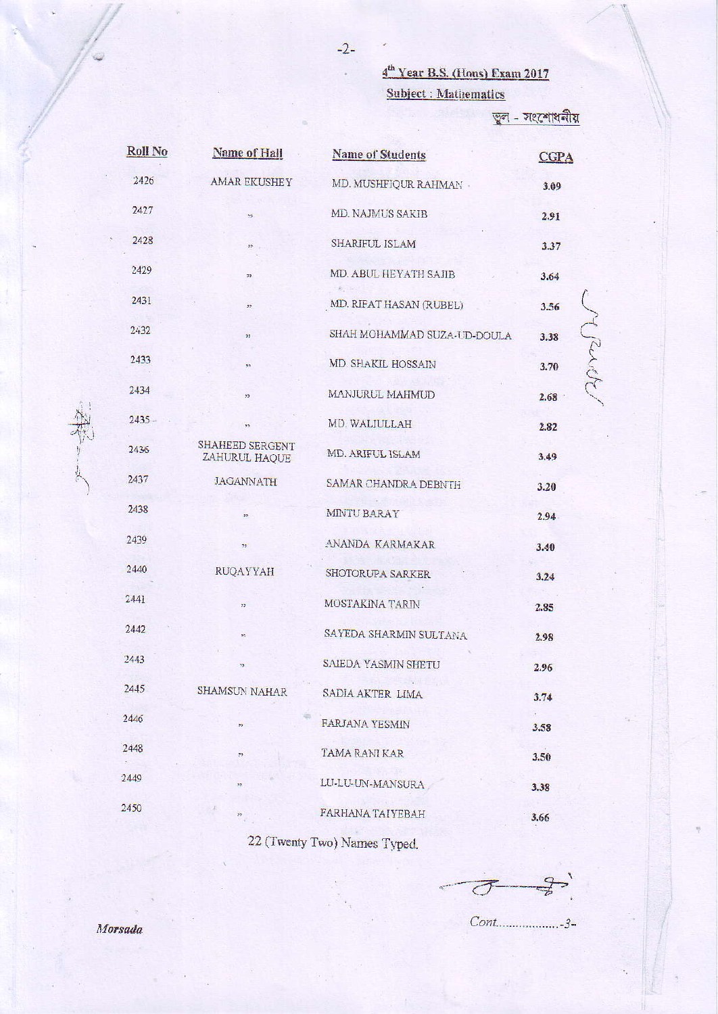4<sup>th</sup> Year B.S. (Hous) Exam 2017 **Subject : Mathematics** 

জুল - সংশোধনীয়

| Roll No  | <b>Name of Hall</b>              | <b>Name of Students</b>     | <b>CGPA</b>   |
|----------|----------------------------------|-----------------------------|---------------|
| 2426     | <b>AMAR EKUSHEY</b>              | MD. MUSHFIQUR RAHMAN -      | 3.09          |
| 2427     | 55                               | MD. NAJMUS SAKIB            | 2.91          |
| 2428     | 33                               | SHARIFUL ISLAM              | 3.37          |
| 2429     | 53.                              | MD. ABUL HEYATH SAJIB       | 3.64          |
| 2431     | 22.                              | MD. RIFAT HASAN (RUBEL)     | 3.56          |
| 2432     | 33                               | SHAH MOHAMMAD SUZA-UD-DOULA | Mande<br>3.38 |
| 2433     | 32                               | MD. SHAKIL HOSSAIN          | 3.70          |
| 2434     | 55 <sub>1</sub>                  | MANJURUL MAHMUD             | 2.68          |
| $2435 -$ | 35.                              | MD. WALIULLAH               | 2.82          |
| 2436     | SHAHEED SERGENT<br>ZAHURUL HAQUE | MD. ARIFUL ISLAM            | 3.49          |
| 2437     | <b>JAGANNATH</b>                 | SAMAR CHANDRA DEBNTH        | 3.20          |
| 2438     | 33.                              | MINTU BARAY                 | 2.94          |
| 2439     | 35.                              | ANANDA KARMAKAR             | 3.40          |
| 2440     | <b>RUQAYYAH</b>                  | SHOTORUPA SARKER            | 3.24          |
| 2441     | 99                               | MOSTAKINA TARIN             | 2.85          |
| 2442     | ×.                               | SAYEDA SHARMIN SULTANA      | 2.98          |
| 2443     | 73                               | SAIEDA YASMIN SHETU         | 2.96          |
| 2445     | SHAMSUN NAHAR                    | SADIA AKTER LIMA            | 3.74          |
| 2446     | 33                               | <b>FARJANA YESMIN</b>       | 3.58          |
| 2448     | 29                               | TAMA RANI KAR               | 3.50          |
| 2449     | $\mathbf{p}$                     | LU-LU-UN-MANSURA            | 3.38          |
| 2450     | 22                               | FARHANA TAIYEBAH            | 3.66          |

22 (Twenty Two) Names Typed.

 $\overline{C}$ 

 $Cont$ .......................3-

Morsada

本学一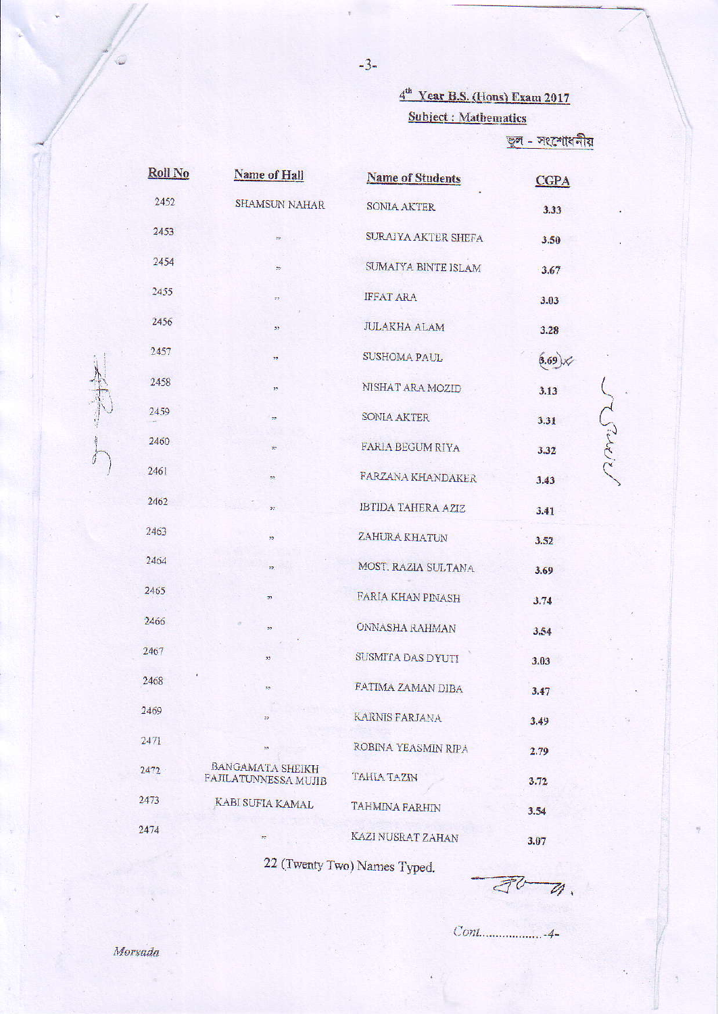## 4<sup>th</sup> Year B.S. (Hons) Exam 2017 Subject : Mathematics

তুল - সংশোধনীয়

rans

| Roll No | Name of Hall                             | <b>Name of Students</b>   | <b>CGPA</b>    |
|---------|------------------------------------------|---------------------------|----------------|
| 2452    | <b>SHAMSUN NAHAR</b>                     | <b>SONIA AKTER</b>        | 3.33           |
| 2453    | $55^\circ$                               | SURAIYA AKTER SHEFA       | 3.50           |
| 2454    | 92.                                      | SUMAIYA BINTE ISLAM       | 3.67           |
| 2455    | 27)                                      | <b>IFFAT ARA</b>          | 3.03           |
| 2456    | 35                                       | <b>JULAKHA ALAM</b>       | 3.28           |
| 2457    | 77                                       | SUSHOMA PAUL              | $(3.69)\times$ |
| 2458    | 22.                                      | NISHAT ARA MOZID          | 3.13           |
| 2459    | 72                                       | SONIA AKTER               | 3.31           |
| 2460    | ž5.                                      | FARIA BEGUM RIYA          | 3.32           |
| 2461    | 55                                       | FARZANA KHANDAKER         | 3.43           |
| 2462    | 55                                       | <b>IBTIDA TAHERA AZIZ</b> | 3.41           |
| 2463    | 55                                       | ZAHURA KHATUN             | 3.52           |
| 2464    | 32.                                      | MOST. RAZIA SULTANA       | 3.69           |
| 2465    | 77                                       | FARIA KHAN PINASH         | 3.74           |
| 2466    | 55                                       | ONNASHA RAHMAN            | 3.54           |
| 2467    | 33                                       | SUSMITA DAS DYUTI         | 3.03           |
| 2468    | 39.                                      | FATIMA ZAMAN DIBA         | 3.47           |
| 2469    | 99                                       | <b>KARNIS FARJANA</b>     | 3.49           |
| 2471    | 55                                       | ROBINA YEASMIN RIPA       | 2.79           |
| 2472    | BANGAMATA SHEIKH<br>PAJILATUNNESSA MUJIB | TAHIA TAZIN               | 3.72           |
| 2473    | KABI SUFIA KAMAL                         | <b>TAHMINA FARHIN</b>     | 3.54           |
| 2474    | 27                                       | KAZI NUSRAT ZAHAN         | 3.07           |

22 (Twenty Two) Names Typed.

 $\overline{\mathcal{J}}^{\mathcal{U}}$  $\overline{\mathscr{U}}$ 

June 1997

Morsada